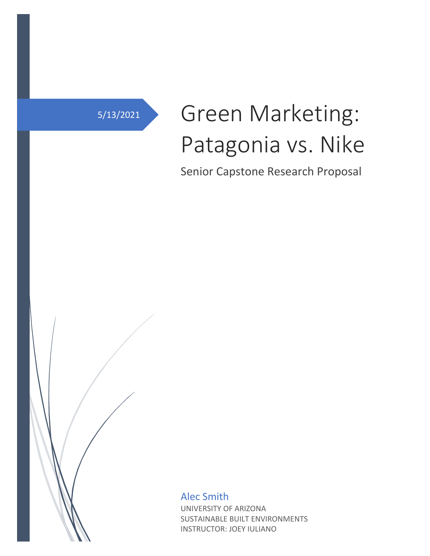# 5/13/2021 Green Marketing: Patagonia vs. Nike

Senior Capstone Research Proposal

Alec Smith UNIVERSITY OF ARIZONA SUSTAINABLE BUILT ENVIRONMENTS INSTRUCTOR: JOEY IULIANO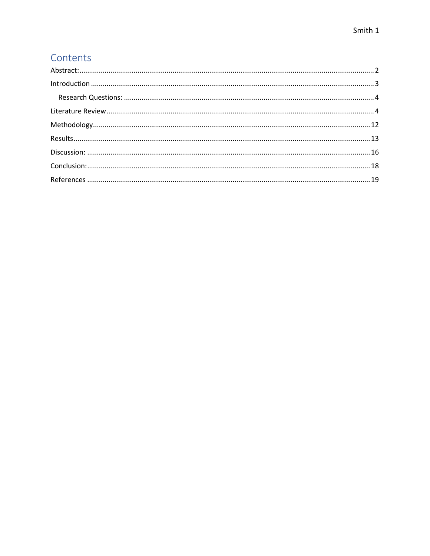# Contents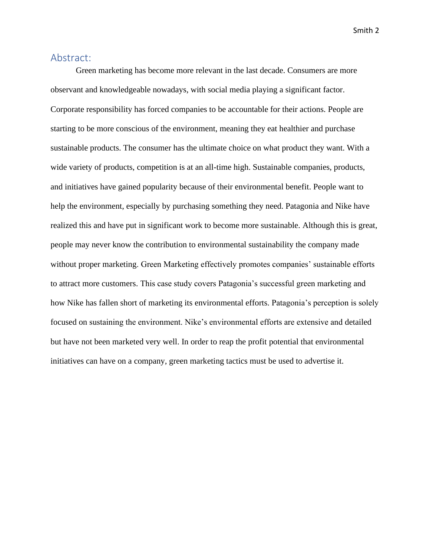## <span id="page-2-0"></span>Abstract:

Green marketing has become more relevant in the last decade. Consumers are more observant and knowledgeable nowadays, with social media playing a significant factor. Corporate responsibility has forced companies to be accountable for their actions. People are starting to be more conscious of the environment, meaning they eat healthier and purchase sustainable products. The consumer has the ultimate choice on what product they want. With a wide variety of products, competition is at an all-time high. Sustainable companies, products, and initiatives have gained popularity because of their environmental benefit. People want to help the environment, especially by purchasing something they need. Patagonia and Nike have realized this and have put in significant work to become more sustainable. Although this is great, people may never know the contribution to environmental sustainability the company made without proper marketing. Green Marketing effectively promotes companies' sustainable efforts to attract more customers. This case study covers Patagonia's successful green marketing and how Nike has fallen short of marketing its environmental efforts. Patagonia's perception is solely focused on sustaining the environment. Nike's environmental efforts are extensive and detailed but have not been marketed very well. In order to reap the profit potential that environmental initiatives can have on a company, green marketing tactics must be used to advertise it.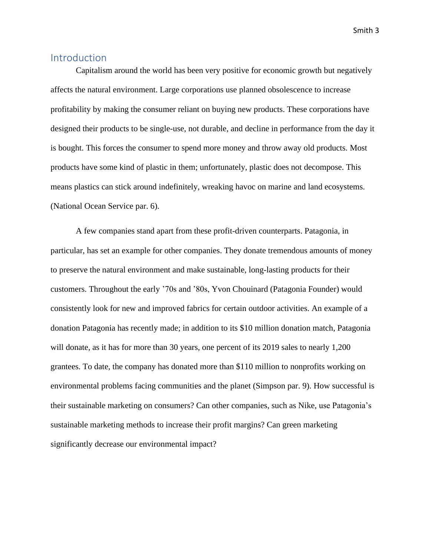## <span id="page-3-0"></span>**Introduction**

Capitalism around the world has been very positive for economic growth but negatively affects the natural environment. Large corporations use planned obsolescence to increase profitability by making the consumer reliant on buying new products. These corporations have designed their products to be single-use, not durable, and decline in performance from the day it is bought. This forces the consumer to spend more money and throw away old products. Most products have some kind of plastic in them; unfortunately, plastic does not decompose. This means plastics can stick around indefinitely, wreaking havoc on marine and land ecosystems. (National Ocean Service par. 6).

A few companies stand apart from these profit-driven counterparts. Patagonia, in particular, has set an example for other companies. They donate tremendous amounts of money to preserve the natural environment and make sustainable, long-lasting products for their customers. Throughout the early '70s and '80s, Yvon Chouinard (Patagonia Founder) would consistently look for new and improved fabrics for certain outdoor activities. An example of a donation Patagonia has recently made; in addition to its \$10 million donation match, Patagonia will donate, as it has for more than 30 years, one percent of its 2019 sales to nearly 1,200 grantees. To date, the company has donated more than \$110 million to nonprofits working on environmental problems facing communities and the planet (Simpson par. 9). How successful is their sustainable marketing on consumers? Can other companies, such as Nike, use Patagonia's sustainable marketing methods to increase their profit margins? Can green marketing significantly decrease our environmental impact?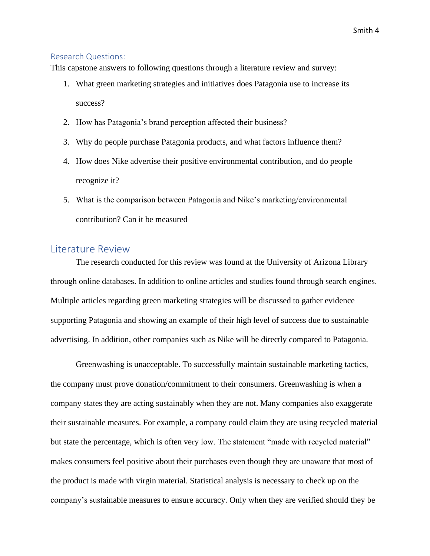#### <span id="page-4-0"></span>Research Questions:

This capstone answers to following questions through a literature review and survey:

- 1. What green marketing strategies and initiatives does Patagonia use to increase its success?
- 2. How has Patagonia's brand perception affected their business?
- 3. Why do people purchase Patagonia products, and what factors influence them?
- 4. How does Nike advertise their positive environmental contribution, and do people recognize it?
- 5. What is the comparison between Patagonia and Nike's marketing/environmental contribution? Can it be measured

## <span id="page-4-1"></span>Literature Review

The research conducted for this review was found at the University of Arizona Library through online databases. In addition to online articles and studies found through search engines. Multiple articles regarding green marketing strategies will be discussed to gather evidence supporting Patagonia and showing an example of their high level of success due to sustainable advertising. In addition, other companies such as Nike will be directly compared to Patagonia.

Greenwashing is unacceptable. To successfully maintain sustainable marketing tactics, the company must prove donation/commitment to their consumers. Greenwashing is when a company states they are acting sustainably when they are not. Many companies also exaggerate their sustainable measures. For example, a company could claim they are using recycled material but state the percentage, which is often very low. The statement "made with recycled material" makes consumers feel positive about their purchases even though they are unaware that most of the product is made with virgin material. Statistical analysis is necessary to check up on the company's sustainable measures to ensure accuracy. Only when they are verified should they be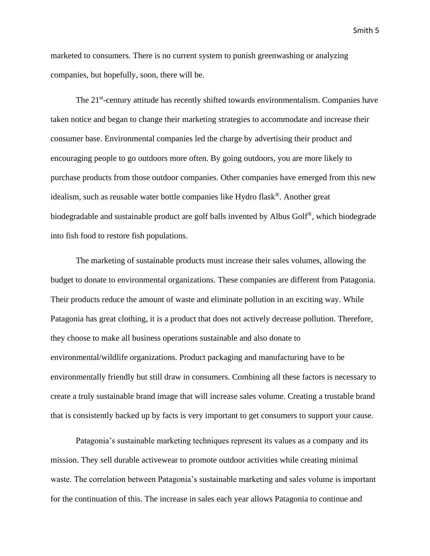marketed to consumers. There is no current system to punish greenwashing or analyzing companies, but hopefully, soon, there will be.

The 21<sup>st</sup>-century attitude has recently shifted towards environmentalism. Companies have taken notice and began to change their marketing strategies to accommodate and increase their consumer base. Environmental companies led the charge by advertising their product and encouraging people to go outdoors more often. By going outdoors, you are more likely to purchase products from those outdoor companies. Other companies have emerged from this new idealism, such as reusable water bottle companies like Hydro flask®. Another great biodegradable and sustainable product are golf balls invented by Albus Golf®, which biodegrade into fish food to restore fish populations.

The marketing of sustainable products must increase their sales volumes, allowing the budget to donate to environmental organizations. These companies are different from Patagonia. Their products reduce the amount of waste and eliminate pollution in an exciting way. While Patagonia has great clothing, it is a product that does not actively decrease pollution. Therefore, they choose to make all business operations sustainable and also donate to environmental/wildlife organizations. Product packaging and manufacturing have to be environmentally friendly but still draw in consumers. Combining all these factors is necessary to create a truly sustainable brand image that will increase sales volume. Creating a trustable brand that is consistently backed up by facts is very important to get consumers to support your cause.

Patagonia's sustainable marketing techniques represent its values as a company and its mission. They sell durable activewear to promote outdoor activities while creating minimal waste. The correlation between Patagonia's sustainable marketing and sales volume is important for the continuation of this. The increase in sales each year allows Patagonia to continue and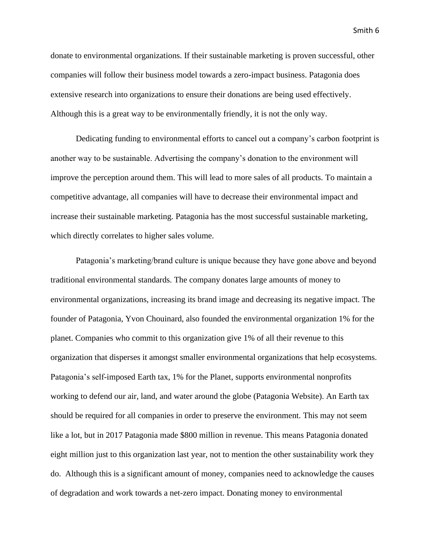donate to environmental organizations. If their sustainable marketing is proven successful, other companies will follow their business model towards a zero-impact business. Patagonia does extensive research into organizations to ensure their donations are being used effectively. Although this is a great way to be environmentally friendly, it is not the only way.

Dedicating funding to environmental efforts to cancel out a company's carbon footprint is another way to be sustainable. Advertising the company's donation to the environment will improve the perception around them. This will lead to more sales of all products. To maintain a competitive advantage, all companies will have to decrease their environmental impact and increase their sustainable marketing. Patagonia has the most successful sustainable marketing, which directly correlates to higher sales volume.

Patagonia's marketing/brand culture is unique because they have gone above and beyond traditional environmental standards. The company donates large amounts of money to environmental organizations, increasing its brand image and decreasing its negative impact. The founder of Patagonia, Yvon Chouinard, also founded the environmental organization 1% for the planet. Companies who commit to this organization give 1% of all their revenue to this organization that disperses it amongst smaller environmental organizations that help ecosystems. Patagonia's self-imposed Earth tax, 1% for the Planet, supports environmental nonprofits working to defend our air, land, and water around the globe (Patagonia Website). An Earth tax should be required for all companies in order to preserve the environment. This may not seem like a lot, but in 2017 Patagonia made \$800 million in revenue. This means Patagonia donated eight million just to this organization last year, not to mention the other sustainability work they do. Although this is a significant amount of money, companies need to acknowledge the causes of degradation and work towards a net-zero impact. Donating money to environmental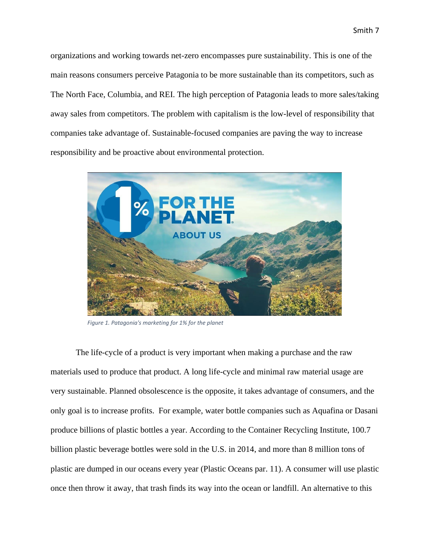organizations and working towards net-zero encompasses pure sustainability. This is one of the main reasons consumers perceive Patagonia to be more sustainable than its competitors, such as The North Face, Columbia, and REI. The high perception of Patagonia leads to more sales/taking away sales from competitors. The problem with capitalism is the low-level of responsibility that companies take advantage of. Sustainable-focused companies are paving the way to increase responsibility and be proactive about environmental protection.



*Figure 1. Patagonia's marketing for 1% for the planet*

The life-cycle of a product is very important when making a purchase and the raw materials used to produce that product. A long life-cycle and minimal raw material usage are very sustainable. Planned obsolescence is the opposite, it takes advantage of consumers, and the only goal is to increase profits. For example, water bottle companies such as Aquafina or Dasani produce billions of plastic bottles a year. According to the Container Recycling Institute, 100.7 billion plastic beverage bottles were sold in the U.S. in 2014, and more than 8 million tons of plastic are dumped in our oceans every year (Plastic Oceans par. 11). A consumer will use plastic once then throw it away, that trash finds its way into the ocean or landfill. An alternative to this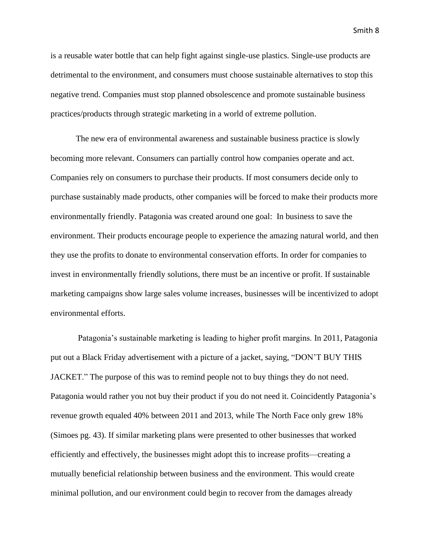is a reusable water bottle that can help fight against single-use plastics. Single-use products are detrimental to the environment, and consumers must choose sustainable alternatives to stop this negative trend. Companies must stop planned obsolescence and promote sustainable business practices/products through strategic marketing in a world of extreme pollution.

The new era of environmental awareness and sustainable business practice is slowly becoming more relevant. Consumers can partially control how companies operate and act. Companies rely on consumers to purchase their products. If most consumers decide only to purchase sustainably made products, other companies will be forced to make their products more environmentally friendly. Patagonia was created around one goal: In business to save the environment. Their products encourage people to experience the amazing natural world, and then they use the profits to donate to environmental conservation efforts. In order for companies to invest in environmentally friendly solutions, there must be an incentive or profit. If sustainable marketing campaigns show large sales volume increases, businesses will be incentivized to adopt environmental efforts.

Patagonia's sustainable marketing is leading to higher profit margins. In 2011, Patagonia put out a Black Friday advertisement with a picture of a jacket, saying, "DON'T BUY THIS JACKET." The purpose of this was to remind people not to buy things they do not need. Patagonia would rather you not buy their product if you do not need it. Coincidently Patagonia's revenue growth equaled 40% between 2011 and 2013, while The North Face only grew 18% (Simoes pg. 43). If similar marketing plans were presented to other businesses that worked efficiently and effectively, the businesses might adopt this to increase profits—creating a mutually beneficial relationship between business and the environment. This would create minimal pollution, and our environment could begin to recover from the damages already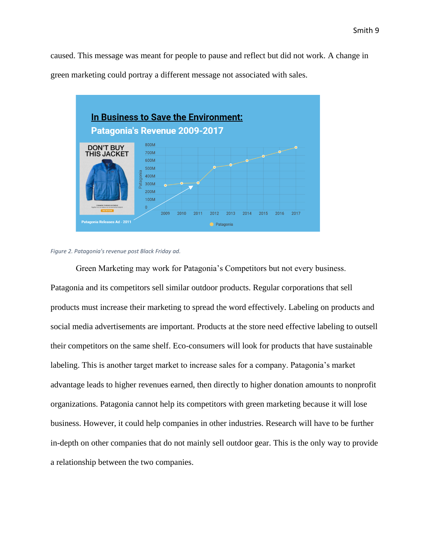caused. This message was meant for people to pause and reflect but did not work. A change in green marketing could portray a different message not associated with sales.





Green Marketing may work for Patagonia's Competitors but not every business. Patagonia and its competitors sell similar outdoor products. Regular corporations that sell products must increase their marketing to spread the word effectively. Labeling on products and social media advertisements are important. Products at the store need effective labeling to outsell their competitors on the same shelf. Eco-consumers will look for products that have sustainable labeling. This is another target market to increase sales for a company. Patagonia's market advantage leads to higher revenues earned, then directly to higher donation amounts to nonprofit organizations. Patagonia cannot help its competitors with green marketing because it will lose business. However, it could help companies in other industries. Research will have to be further in-depth on other companies that do not mainly sell outdoor gear. This is the only way to provide a relationship between the two companies.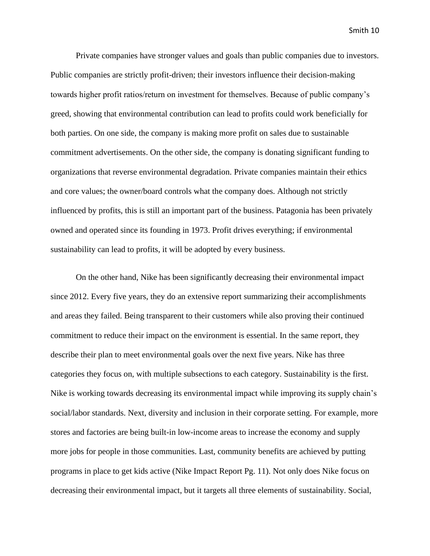Private companies have stronger values and goals than public companies due to investors. Public companies are strictly profit-driven; their investors influence their decision-making towards higher profit ratios/return on investment for themselves. Because of public company's greed, showing that environmental contribution can lead to profits could work beneficially for both parties. On one side, the company is making more profit on sales due to sustainable commitment advertisements. On the other side, the company is donating significant funding to organizations that reverse environmental degradation. Private companies maintain their ethics and core values; the owner/board controls what the company does. Although not strictly influenced by profits, this is still an important part of the business. Patagonia has been privately owned and operated since its founding in 1973. Profit drives everything; if environmental sustainability can lead to profits, it will be adopted by every business.

On the other hand, Nike has been significantly decreasing their environmental impact since 2012. Every five years, they do an extensive report summarizing their accomplishments and areas they failed. Being transparent to their customers while also proving their continued commitment to reduce their impact on the environment is essential. In the same report, they describe their plan to meet environmental goals over the next five years. Nike has three categories they focus on, with multiple subsections to each category. Sustainability is the first. Nike is working towards decreasing its environmental impact while improving its supply chain's social/labor standards. Next, diversity and inclusion in their corporate setting. For example, more stores and factories are being built-in low-income areas to increase the economy and supply more jobs for people in those communities. Last, community benefits are achieved by putting programs in place to get kids active (Nike Impact Report Pg. 11). Not only does Nike focus on decreasing their environmental impact, but it targets all three elements of sustainability. Social,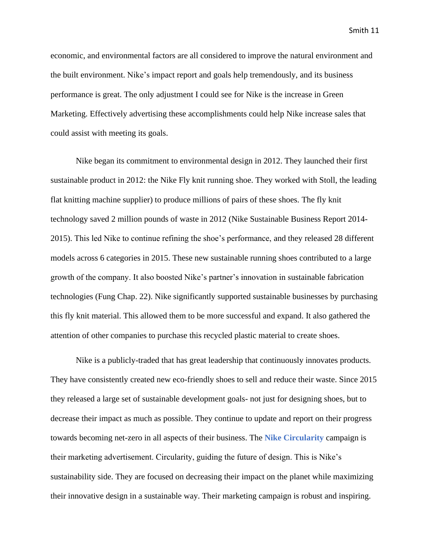economic, and environmental factors are all considered to improve the natural environment and the built environment. Nike's impact report and goals help tremendously, and its business performance is great. The only adjustment I could see for Nike is the increase in Green Marketing. Effectively advertising these accomplishments could help Nike increase sales that could assist with meeting its goals.

Nike began its commitment to environmental design in 2012. They launched their first sustainable product in 2012: the Nike Fly knit running shoe. They worked with Stoll, the leading flat knitting machine supplier) to produce millions of pairs of these shoes. The fly knit technology saved 2 million pounds of waste in 2012 (Nike Sustainable Business Report 2014- 2015). This led Nike to continue refining the shoe's performance, and they released 28 different models across 6 categories in 2015. These new sustainable running shoes contributed to a large growth of the company. It also boosted Nike's partner's innovation in sustainable fabrication technologies (Fung Chap. 22). Nike significantly supported sustainable businesses by purchasing this fly knit material. This allowed them to be more successful and expand. It also gathered the attention of other companies to purchase this recycled plastic material to create shoes.

Nike is a publicly-traded that has great leadership that continuously innovates products. They have consistently created new eco-friendly shoes to sell and reduce their waste. Since 2015 they released a large set of sustainable development goals- not just for designing shoes, but to decrease their impact as much as possible. They continue to update and report on their progress towards becoming net-zero in all aspects of their business. The **Nike Circularity** campaign is their marketing advertisement. Circularity, guiding the future of design. This is Nike's sustainability side. They are focused on decreasing their impact on the planet while maximizing their innovative design in a sustainable way. Their marketing campaign is robust and inspiring.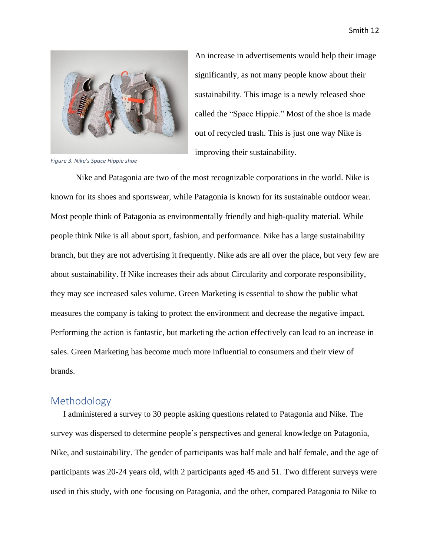

*Figure 3. Nike's Space Hippie shoe*

An increase in advertisements would help their image significantly, as not many people know about their sustainability. This image is a newly released shoe called the "Space Hippie." Most of the shoe is made out of recycled trash. This is just one way Nike is improving their sustainability.

Nike and Patagonia are two of the most recognizable corporations in the world. Nike is known for its shoes and sportswear, while Patagonia is known for its sustainable outdoor wear. Most people think of Patagonia as environmentally friendly and high-quality material. While people think Nike is all about sport, fashion, and performance. Nike has a large sustainability branch, but they are not advertising it frequently. Nike ads are all over the place, but very few are about sustainability. If Nike increases their ads about Circularity and corporate responsibility, they may see increased sales volume. Green Marketing is essential to show the public what measures the company is taking to protect the environment and decrease the negative impact. Performing the action is fantastic, but marketing the action effectively can lead to an increase in sales. Green Marketing has become much more influential to consumers and their view of brands.

#### <span id="page-12-0"></span>Methodology

I administered a survey to 30 people asking questions related to Patagonia and Nike. The survey was dispersed to determine people's perspectives and general knowledge on Patagonia, Nike, and sustainability. The gender of participants was half male and half female, and the age of participants was 20-24 years old, with 2 participants aged 45 and 51. Two different surveys were used in this study, with one focusing on Patagonia, and the other, compared Patagonia to Nike to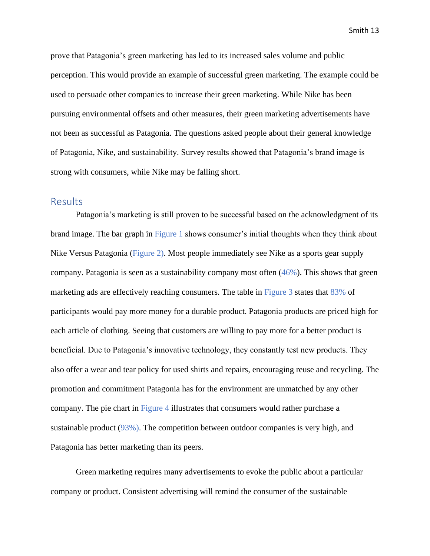prove that Patagonia's green marketing has led to its increased sales volume and public perception. This would provide an example of successful green marketing. The example could be used to persuade other companies to increase their green marketing. While Nike has been pursuing environmental offsets and other measures, their green marketing advertisements have not been as successful as Patagonia. The questions asked people about their general knowledge of Patagonia, Nike, and sustainability. Survey results showed that Patagonia's brand image is strong with consumers, while Nike may be falling short.

# <span id="page-13-0"></span>Results

Patagonia's marketing is still proven to be successful based on the acknowledgment of its brand image. The bar graph in Figure 1 shows consumer's initial thoughts when they think about Nike Versus Patagonia (Figure 2). Most people immediately see Nike as a sports gear supply company. Patagonia is seen as a sustainability company most often (46%). This shows that green marketing ads are effectively reaching consumers. The table in Figure 3 states that 83% of participants would pay more money for a durable product. Patagonia products are priced high for each article of clothing. Seeing that customers are willing to pay more for a better product is beneficial. Due to Patagonia's innovative technology, they constantly test new products. They also offer a wear and tear policy for used shirts and repairs, encouraging reuse and recycling. The promotion and commitment Patagonia has for the environment are unmatched by any other company. The pie chart in Figure 4 illustrates that consumers would rather purchase a sustainable product (93%). The competition between outdoor companies is very high, and Patagonia has better marketing than its peers.

Green marketing requires many advertisements to evoke the public about a particular company or product. Consistent advertising will remind the consumer of the sustainable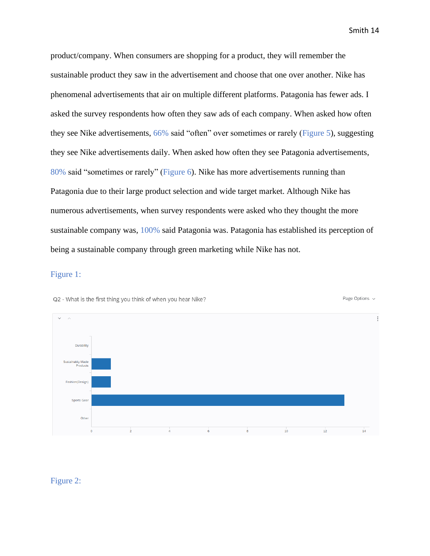Page Options v

product/company. When consumers are shopping for a product, they will remember the sustainable product they saw in the advertisement and choose that one over another. Nike has phenomenal advertisements that air on multiple different platforms. Patagonia has fewer ads. I asked the survey respondents how often they saw ads of each company. When asked how often they see Nike advertisements, 66% said "often" over sometimes or rarely (Figure 5), suggesting they see Nike advertisements daily. When asked how often they see Patagonia advertisements, 80% said "sometimes or rarely" (Figure 6). Nike has more advertisements running than Patagonia due to their large product selection and wide target market. Although Nike has numerous advertisements, when survey respondents were asked who they thought the more sustainable company was, 100% said Patagonia was. Patagonia has established its perception of being a sustainable company through green marketing while Nike has not.

#### Figure 1:



Q2 - What is the first thing you think of when you hear Nike?

#### Figure 2: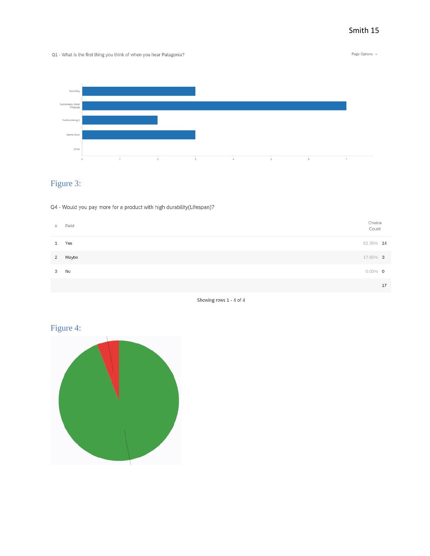#### Q1 - What is the first thing you think of when you hear Patagonia?

Page Options  $\sim$ 



# Figure 3:

Q4 - Would you pay more for a product with high durability(Lifespan)?

|   | # Field             | Choice<br>Count |
|---|---------------------|-----------------|
|   | Yes<br>$\mathbf{1}$ | 82.35% 14       |
|   | Maybe<br>2          | 17.65% 3        |
| 3 | No                  | $0.00\%$ 0      |
|   |                     | 17              |



# Figure 4:

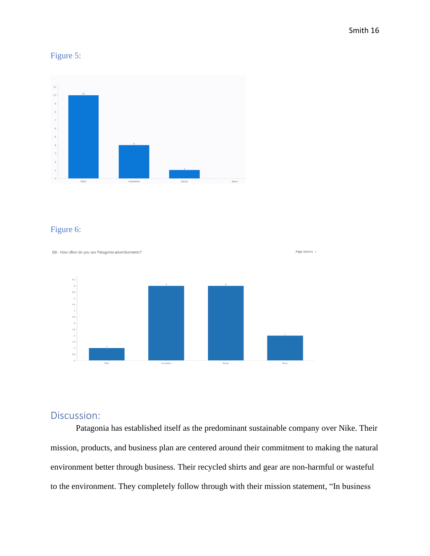# Figure 5:



## Figure 6:



# <span id="page-16-0"></span>Discussion:

Patagonia has established itself as the predominant sustainable company over Nike. Their mission, products, and business plan are centered around their commitment to making the natural environment better through business. Their recycled shirts and gear are non-harmful or wasteful to the environment. They completely follow through with their mission statement, "In business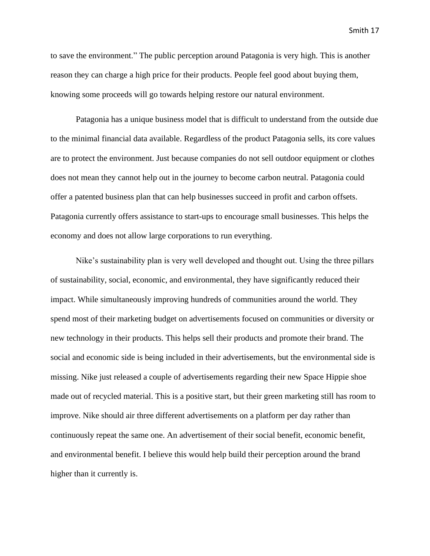to save the environment." The public perception around Patagonia is very high. This is another reason they can charge a high price for their products. People feel good about buying them, knowing some proceeds will go towards helping restore our natural environment.

Patagonia has a unique business model that is difficult to understand from the outside due to the minimal financial data available. Regardless of the product Patagonia sells, its core values are to protect the environment. Just because companies do not sell outdoor equipment or clothes does not mean they cannot help out in the journey to become carbon neutral. Patagonia could offer a patented business plan that can help businesses succeed in profit and carbon offsets. Patagonia currently offers assistance to start-ups to encourage small businesses. This helps the economy and does not allow large corporations to run everything.

Nike's sustainability plan is very well developed and thought out. Using the three pillars of sustainability, social, economic, and environmental, they have significantly reduced their impact. While simultaneously improving hundreds of communities around the world. They spend most of their marketing budget on advertisements focused on communities or diversity or new technology in their products. This helps sell their products and promote their brand. The social and economic side is being included in their advertisements, but the environmental side is missing. Nike just released a couple of advertisements regarding their new Space Hippie shoe made out of recycled material. This is a positive start, but their green marketing still has room to improve. Nike should air three different advertisements on a platform per day rather than continuously repeat the same one. An advertisement of their social benefit, economic benefit, and environmental benefit. I believe this would help build their perception around the brand higher than it currently is.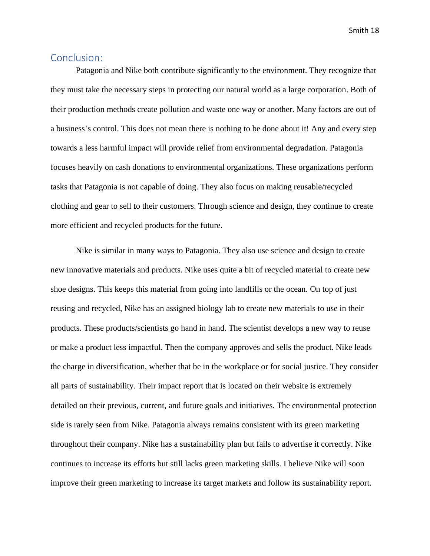# <span id="page-18-0"></span>Conclusion:

Patagonia and Nike both contribute significantly to the environment. They recognize that they must take the necessary steps in protecting our natural world as a large corporation. Both of their production methods create pollution and waste one way or another. Many factors are out of a business's control. This does not mean there is nothing to be done about it! Any and every step towards a less harmful impact will provide relief from environmental degradation. Patagonia focuses heavily on cash donations to environmental organizations. These organizations perform tasks that Patagonia is not capable of doing. They also focus on making reusable/recycled clothing and gear to sell to their customers. Through science and design, they continue to create more efficient and recycled products for the future.

Nike is similar in many ways to Patagonia. They also use science and design to create new innovative materials and products. Nike uses quite a bit of recycled material to create new shoe designs. This keeps this material from going into landfills or the ocean. On top of just reusing and recycled, Nike has an assigned biology lab to create new materials to use in their products. These products/scientists go hand in hand. The scientist develops a new way to reuse or make a product less impactful. Then the company approves and sells the product. Nike leads the charge in diversification, whether that be in the workplace or for social justice. They consider all parts of sustainability. Their impact report that is located on their website is extremely detailed on their previous, current, and future goals and initiatives. The environmental protection side is rarely seen from Nike. Patagonia always remains consistent with its green marketing throughout their company. Nike has a sustainability plan but fails to advertise it correctly. Nike continues to increase its efforts but still lacks green marketing skills. I believe Nike will soon improve their green marketing to increase its target markets and follow its sustainability report.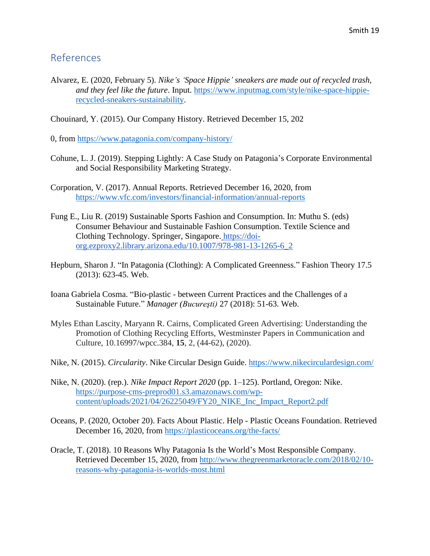# <span id="page-19-0"></span>References

Alvarez, E. (2020, February 5). *Nike's 'Space Hippie' sneakers are made out of recycled trash, and they feel like the future*. Input. [https://www.inputmag.com/style/nike-space-hippie](https://www.inputmag.com/style/nike-space-hippie-recycled-sneakers-sustainability)[recycled-sneakers-sustainability.](https://www.inputmag.com/style/nike-space-hippie-recycled-sneakers-sustainability)

Chouinard, Y. (2015). Our Company History. Retrieved December 15, 202

0, from <https://www.patagonia.com/company-history/>

- Cohune, L. J. (2019). Stepping Lightly: A Case Study on Patagonia's Corporate Environmental and Social Responsibility Marketing Strategy.
- Corporation, V. (2017). Annual Reports. Retrieved December 16, 2020, from <https://www.vfc.com/investors/financial-information/annual-reports>
- Fung E., Liu R. (2019) Sustainable Sports Fashion and Consumption. In: Muthu S. (eds) Consumer Behaviour and Sustainable Fashion Consumption. Textile Science and Clothing Technology. Springer, Singapore. [https://doi](https://doi-org.ezproxy2.library.arizona.edu/10.1007/978-981-13-1265-6_2)[org.ezproxy2.library.arizona.edu/10.1007/978-981-13-1265-6\\_2](https://doi-org.ezproxy2.library.arizona.edu/10.1007/978-981-13-1265-6_2)
- Hepburn, Sharon J. "In Patagonia (Clothing): A Complicated Greenness." Fashion Theory 17.5 (2013): 623-45. Web.
- Ioana Gabriela Cosma. "Bio-plastic between Current Practices and the Challenges of a Sustainable Future." *Manager (Bucureşti)* 27 (2018): 51-63. Web.
- Myles Ethan Lascity, Maryann R. Cairns, Complicated Green Advertising: Understanding the Promotion of Clothing Recycling Efforts, Westminster Papers in Communication and Culture, 10.16997/wpcc.384, **15**, 2, (44-62), (2020).
- Nike, N. (2015). *Circularity*. Nike Circular Design Guide.<https://www.nikecirculardesign.com/>
- Nike, N. (2020). (rep.). *Nike Impact Report 2020* (pp. 1–125). Portland, Oregon: Nike. [https://purpose-cms-preprod01.s3.amazonaws.com/wp](https://purpose-cms-preprod01.s3.amazonaws.com/wp-content/uploads/2021/04/26225049/FY20_NIKE_Inc_Impact_Report2.pdf)[content/uploads/2021/04/26225049/FY20\\_NIKE\\_Inc\\_Impact\\_Report2.pdf](https://purpose-cms-preprod01.s3.amazonaws.com/wp-content/uploads/2021/04/26225049/FY20_NIKE_Inc_Impact_Report2.pdf)
- Oceans, P. (2020, October 20). Facts About Plastic. Help Plastic Oceans Foundation. Retrieved December 16, 2020, from<https://plasticoceans.org/the-facts/>
- Oracle, T. (2018). 10 Reasons Why Patagonia Is the World's Most Responsible Company. Retrieved December 15, 2020, from [http://www.thegreenmarketoracle.com/2018/02/10](http://www.thegreenmarketoracle.com/2018/02/10-reasons-why-patagonia-is-worlds-most.html) [reasons-why-patagonia-is-worlds-most.html](http://www.thegreenmarketoracle.com/2018/02/10-reasons-why-patagonia-is-worlds-most.html)